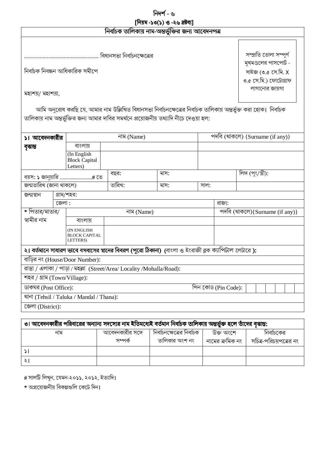# নিদৰ্শ - ৬

[নিয়ম -১৩(১) ও -২৬ দ্ৰষ্টব্য]

| $\sim$ $\sim$ $\sim$<br>নিৰ্বাচক তালিকায় নাম-অন্তৰ্ভুক্তির জন্য আবেদনপত্র                                        |       |                                                 |                            |                                                                                                                                                                                                             |             |                                                                      |                        |            |  |
|-------------------------------------------------------------------------------------------------------------------|-------|-------------------------------------------------|----------------------------|-------------------------------------------------------------------------------------------------------------------------------------------------------------------------------------------------------------|-------------|----------------------------------------------------------------------|------------------------|------------|--|
|                                                                                                                   |       |                                                 | বিধানসভা নির্বাচনক্ষেত্রের |                                                                                                                                                                                                             |             |                                                                      | সম্প্ৰতি তোলা সম্পুৰ্ণ |            |  |
| নিৰ্বাচক নিবন্ধন আধিকারিক সমীপে                                                                                   |       |                                                 |                            |                                                                                                                                                                                                             |             | মুখমণ্ডলের পাসপোর্ট -<br>সাইজ (৩.৫ সে.মি. X<br>৩.৫ সে.মি.) ফোটোগ্ৰাফ |                        |            |  |
| মহাশয়/ মহাশয়া,                                                                                                  |       |                                                 |                            |                                                                                                                                                                                                             |             |                                                                      | লাগানোর জায়গা         |            |  |
|                                                                                                                   |       |                                                 |                            | আমি অনুরোধ করছি যে, আমার নাম উল্লিখিত বিধানসভা নির্বাচনক্ষেত্রের নির্বাচক তালিকায় অন্তর্ভুক্ত করা হোক।  নির্বাচক<br>তালিকায় নাম অন্তর্ভুক্তির জন্য আমার দাবির সমর্থনে প্রয়োজনীয় তথ্যাদি নীচে দেওয়া হল: |             |                                                                      |                        |            |  |
| ১। আবেদনকারীর                                                                                                     |       |                                                 | নাম (Name)                 |                                                                                                                                                                                                             |             | পদবি (থাকলে) {Surname (if any)}                                      |                        |            |  |
| বৃত্তান্ত                                                                                                         |       | বাংলায়                                         |                            |                                                                                                                                                                                                             |             |                                                                      |                        |            |  |
|                                                                                                                   |       | (In English<br><b>Block Capital</b><br>Letters) |                            |                                                                                                                                                                                                             |             |                                                                      |                        |            |  |
| বয়স: ১ জানুয়ারি # তে                                                                                            |       |                                                 | বছর:                       | মাস:                                                                                                                                                                                                        |             |                                                                      | লিঙ্গ (পুং/স্ত্রী):    |            |  |
| জন্মতারিখ (জানা থাকলে)                                                                                            |       |                                                 | তারিখ:                     | মাস:                                                                                                                                                                                                        | সাল:        |                                                                      |                        |            |  |
| জন্মস্থান                                                                                                         |       | গ্রাম/শহর:                                      |                            |                                                                                                                                                                                                             |             |                                                                      |                        |            |  |
|                                                                                                                   | জেলা: |                                                 |                            |                                                                                                                                                                                                             | রাজ্য:      |                                                                      |                        |            |  |
| * পিতার/মাতার/                                                                                                    |       |                                                 | নাম (Name)                 |                                                                                                                                                                                                             |             | পদবি (থাকলে){Surname (if any)}                                       |                        |            |  |
| স্বামীর নাম                                                                                                       |       | বাংলায়                                         |                            |                                                                                                                                                                                                             |             |                                                                      |                        |            |  |
|                                                                                                                   |       | (IN ENGLISH<br><b>BLOCK CAPITAL</b><br>LETTERS) |                            |                                                                                                                                                                                                             |             |                                                                      |                        |            |  |
| ২। বর্তমানে সাধারণ ভাবে বসবাসের স্থানের বিবরণ (পুরো ঠিকানা) (বাংলা ও ইংরাজী ব্লক ক্যাপিটাল লেটারে ):              |       |                                                 |                            |                                                                                                                                                                                                             |             |                                                                      |                        |            |  |
| বাডির নং (House/Door Number):                                                                                     |       |                                                 |                            |                                                                                                                                                                                                             |             |                                                                      |                        |            |  |
| রাস্তা / এলাকা / পাড়া / মহল্লা (Street/Area/ Locality /Mohalla/Road):                                            |       |                                                 |                            |                                                                                                                                                                                                             |             |                                                                      |                        |            |  |
| শহর / গ্রাম (Town/Village):                                                                                       |       |                                                 |                            |                                                                                                                                                                                                             |             |                                                                      |                        |            |  |
| পিন কোড (Pin Code):<br>ডাকঘর (Post Office):                                                                       |       |                                                 |                            |                                                                                                                                                                                                             |             |                                                                      |                        |            |  |
| থানা (Tehsil / Taluka / Mandal / Thana):                                                                          |       |                                                 |                            |                                                                                                                                                                                                             |             |                                                                      |                        |            |  |
| জেলা (District):                                                                                                  |       |                                                 |                            |                                                                                                                                                                                                             |             |                                                                      |                        |            |  |
|                                                                                                                   |       |                                                 |                            |                                                                                                                                                                                                             |             |                                                                      |                        |            |  |
| ৩। আবেদনকারীর পরিবারের অন্যান্য সদস্যের নাম ইতিমধ্যেই বর্তমান নির্বাচক তালিকায় অন্তর্ভুক্ত হলে তাঁদের বৃত্তান্ত: |       |                                                 |                            |                                                                                                                                                                                                             |             |                                                                      |                        |            |  |
|                                                                                                                   | নাম   |                                                 | আবেদনকাবীব সঙ্গে           | নির্বাচনস্ক্ষেত্রের নির্বাচক                                                                                                                                                                                | টাক্ত তাংসো |                                                                      |                        | নির্বাচকের |  |

| নাম | আবেদনকারীর সঙ্গে<br>সম্পৰ্ক | ানবাচনক্ষেত্রের ানবাচক<br>তালিকার অংশ নং | ডক্ত অংশে<br>নামের ক্রমিক নং | ানবাচকের<br>সচিত্র-পরিচয়পত্রের নং |
|-----|-----------------------------|------------------------------------------|------------------------------|------------------------------------|
|     |                             |                                          |                              |                                    |
|     |                             |                                          |                              |                                    |

|  | # সালটি লিখুন, যেমন-২০১১, ২০১২, ইত্যাদি। |  |  |
|--|------------------------------------------|--|--|
|--|------------------------------------------|--|--|

\* অপ্রয়োজনীয় বিকল্পগুলি কেটে দিন।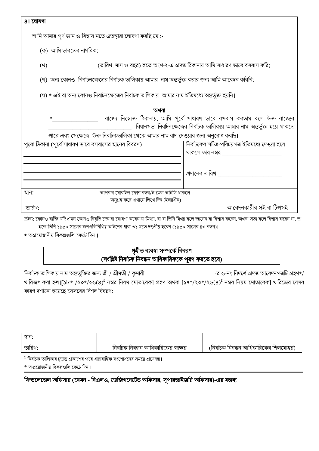| ৪। ঘোষণা                                                                                            |                                                                                |  |  |  |
|-----------------------------------------------------------------------------------------------------|--------------------------------------------------------------------------------|--|--|--|
| আমি আমার পূর্ণ জ্ঞান ও বিশ্বাস মতে এতদ্দারা ঘোষণা করছি যে :-                                        |                                                                                |  |  |  |
| (ক) আমি ভারতের নাগরিক;                                                                              |                                                                                |  |  |  |
| (খ) _________________ (তারিখ, মাস ও বছর) হতে অংশ-২-এ প্রদত্ত ঠিকানায় আমি সাধারণ ভাবে বসবাস করি;    |                                                                                |  |  |  |
| (গ) অন্য কোনও  নির্বাচনক্ষেত্রের নির্বাচক তালিকায় আমার  নাম অন্তর্ভুক্ত করার জন্য আমি আবেদন করিনি; |                                                                                |  |  |  |
| (ঘ) * এই বা অন্য কোনও নির্বাচনক্ষেত্রের নির্বাচক তালিকায়  আমার নাম ইতিমধ্যে অন্তর্ভুক্ত হয়নি।     |                                                                                |  |  |  |
| অথবা                                                                                                |                                                                                |  |  |  |
| ∗                                                                                                   | রাজ্যে নিম্নোক্ত ঠিকানায়, আমি পূর্বে সাধারণ ভাবে বসবাস করতাম বলে উক্ত রাজ্যের |  |  |  |
|                                                                                                     | বিধানসভা নির্বাচনক্ষেত্রের নির্বাচক তালিকায় আমার নাম অন্তর্ভুক্ত হয়ে থাকতে   |  |  |  |
| পারে এবং সেক্ষেত্রে উক্ত নির্বাচকতালিকা থেকে আমার নাম বাদ দেওয়ার জন্য অনুরোধ করছি।                 |                                                                                |  |  |  |
| পুরো ঠিকানা (পূর্বে সাধারণ ভাবে বসবাসের স্থানের বিবরণ)                                              | নির্বাচকের সচিত্র-পরিচয়পত্র ইতিমধ্যে দেওয়া হয়ে                              |  |  |  |
|                                                                                                     | থাকলে তার নম্বর                                                                |  |  |  |
|                                                                                                     |                                                                                |  |  |  |
|                                                                                                     |                                                                                |  |  |  |
|                                                                                                     | প্রদানের তারিখ ______________________                                          |  |  |  |
|                                                                                                     |                                                                                |  |  |  |
| আপনার মোবাইল ফোন নম্বর/ই-মেল আইডি থাকলে<br>স্থান:                                                   |                                                                                |  |  |  |
| অনুগ্রহ করে এখানে লিখে দিন (ইচ্ছাধীন)                                                               |                                                                                |  |  |  |
| তারিখ:                                                                                              | আবেদনকারীর সই বা টিপসই                                                         |  |  |  |
|                                                                                                     |                                                                                |  |  |  |

দ্রষ্টব্য: কোনও ব্যক্তি যদি এমন কোনও বিবৃতি দেন বা ঘোষণা করেন যা মিথ্যা, বা যা তিনি মিথ্যা বলে লানেন বা বিশ্বাস করেন বা বিশ্বাস করেন বা, তা হলে তিনি ১৯৫০ সালের জনপ্রতিনিধিত্ব আইনের ধারা-৩১ মতে দণ্ডনীয় হবেন (১৯৫০ সালের ৪৩ নম্বর)।

\* অপ্রয়োজনীয় বিকল্পগুলি কেটে দিন।

## গৃহীত ব্যবস্থা সম্পৰ্কে বিবরণ (সংশ্লিষ্ট নির্বাচক নিবন্ধন আধিকারিককে পূরণ করতে হবে)

নির্বাচক তালিকায় নাম অন্তভুক্তির জন্য শ্রী / শ্রীমতী / কুমারী \_\_ \_ -র ৬-নং নিদর্শে প্রদত্ত আবেদনপত্রটি গ্রহণ\*/ খারিজ\* করা হল।[১৮\* /২০\*/২৬(৪) $^{\rm f}$  নম্বর নিয়ম মোতাবেক] গ্রহণ অথবা [১৭\*/২০\*/২৬(৪) $^{\rm f}$  নম্বর নিয়ম মোতাবেক] খারিজের যেসব কারণ দর্শানো হয়েছে সেসবের বিশদ বিবরণ:

| স্তান∶                                     |                                      |                                       |
|--------------------------------------------|--------------------------------------|---------------------------------------|
| তারিখ:                                     | নির্বাচক নিবন্ধন আধিকারিকের স্বাক্ষর | (নির্বাচক নিবন্ধন আধিকারিকের শিলমোহর) |
| $\mathbf{r}$ , $\mathbf{r}$ , $\mathbf{r}$ |                                      |                                       |

 $^{\tt t}$  নির্বাচক তালিকার চূড়ান্ত প্রকাশের পরে ধারাবাহিক সংশোধনের সময়ে প্রযোজ্য।

\* অপ্রয়োজনীয় বিকল্পগুলি কেটে দিন।

## ফিল্ডলেভেল অফিসার (যেমন - বিএলও, ডেজিগনেটেড অফিসার, সুপারভাইজরি অফিসার)-এর মন্তব্য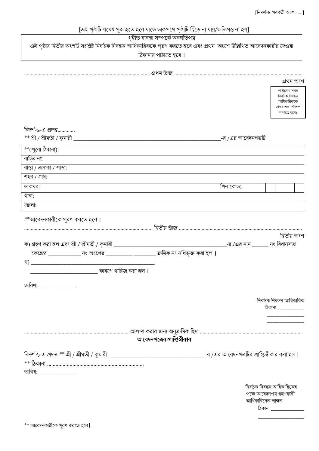[এই পৃষ্ঠাটি যথেষ্ট পুরু হতে হবে যাতে ডাকপথে পৃষ্ঠাটি ছিঁড়ে না যায়/ক্ষতিগ্রস্ত না হয়] <u>গৃহীত ব্যবস্থা সম্পৰ্কে অবগতিপত্ৰ</u> এই পৃষ্ঠায় দ্বিতীয় অংশটি সংশ্লিষ্ট নির্বাচক নিবন্ধন আধিকারিককে পূরণ করতে হবে এবং প্রথম অংশে উল্লিখিত আবেদনকারীর দেওয়া ঠিকানায় পাঠাতে হবে। প্ৰথম অংশ পাঠানোর সময নিৰ্বাচক নিবন্ধন আধিকাবিককে ডাকমাশুল স্ট্যাম্প লাগাতে হবে। নিদর্শ-৬-এ প্রদত্ত.............  $**$  শ্রী / শ্রীমতী / কুমারী  $\_$ -র /এর আবেদনপত্রটি \*\*(পুরো ঠিকানা): রাস্তা / এলাকা / পাড়া: শহর / গ্রাম: পিন কোড: \*\*আবেদনকারীকে পুরণ করতে হবে। দ্বিতীয় অংশ \_\_\_-র /<mark>এর নাম \_\_</mark>\_\_\_\_ নং বিধানসভা ক) গ্রহণ করা হল এবং শ্রী / শ্রীমতী / কুমারী \_\_\_\_\_\_\_\_\_

| খ)                          | <u> 1980 - Jan Barbarat, martin da basar da basar da basar da basar da basar da basar da basar da basar</u> |                             |                           |
|-----------------------------|-------------------------------------------------------------------------------------------------------------|-----------------------------|---------------------------|
|                             | কারণে খারিজ করা হল ।                                                                                        |                             |                           |
| তারিখ: <b>_____________</b> |                                                                                                             |                             |                           |
|                             |                                                                                                             |                             | নিৰ্বাচক নিবন্ধন আধিকারিক |
|                             |                                                                                                             |                             | ঠিকানা                    |
|                             |                                                                                                             |                             |                           |
|                             |                                                                                                             |                             |                           |
|                             |                                                                                                             | আবেদনপত্রের প্রাপ্তিস্বীকার |                           |
|                             |                                                                                                             |                             |                           |
|                             |                                                                                                             |                             |                           |

তারিখ: **\_\_\_\_\_\_\_\_\_\_\_\_** 

বাডির নং:

ডাকঘর:

থানা: জেলা: [নিদর্শ-৬ পরবর্তী অংশ.......]

নির্বাচক নিবন্ধন আধিকারিকের পক্ষে আবেদনপত্ৰ গ্ৰহণকারী আধিকারিকের স্বাক্ষর

 $\delta$ কানা $\Box$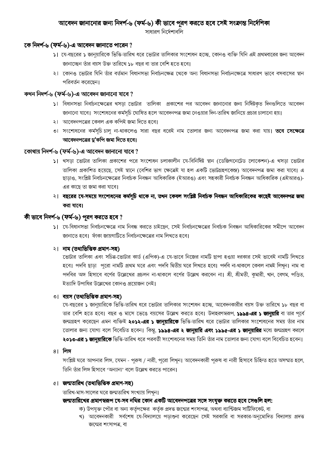### আবেদন জানানোর জন্য নিদর্শ-৬ (ফর্ম-৬) কী ভাবে পুরণ করতে হবে সেই সংক্রান্ত নির্দেশিকা

সাধারণ নির্দেশাবলি

### কে নিদর্শ-৬ (ফর্ম-৬)-এ আবেদন জানাতে পারেন ?

- ১। যে-বছরের ১ জানুয়ারিকে ভিত্তি-তারিখ ধরে ভোটার তালিকার সংশোধন হচ্ছে, কোনও ব্যক্তি যিনি এই প্রথমবারের জন্য আবেদন জানাচ্ছেন তাঁর বয়স উক্ত তারিখে ১৮ বছর বা তার বেশি হতে হবে।
- ২। কোনও ভোটার যিনি তাঁর বর্তমান বিধানসভা নির্বাচনক্ষেত্র থেকে অন্য বিধানসভা নির্বাচনক্ষেত্রে সাধারণ ভাবে বসবাসের স্থান পরিবর্তন করেছেন।

#### কখন নিদৰ্শ-৬ (ফৰ্ম-৬)-এ আবেদন জানানো যাবে ?

- ১। বিধানসভা নির্বাচনক্ষেত্রের থসড়া ভোটার তালিকা প্রকাশের পর আবেদন জানানোর জন্য নির্দিষ্টকৃত দিনগুলিতে আবেদন জানানো যাবে। সংশোধনের কর্মসূচি ঘোষিত হলে আবেদনপত্র জমা নেওয়ার দিন-তারিখ জানিয়ে প্রচার চালানো হয়।
- ২। আবেদনপত্রের কেবল এক কপিই জমা দিতে হবে।
- ৩। সংশোধনের কর্মসূচি চালু না-থাকলেও সারা বছর ধরেই নাম তোলার জন্য আবেদনপত্র জমা করা যায়। **তবে সেক্ষেত্রে** আবেদনপত্রের দু'কপি জমা দিতে হবে।

### কোথায় নিদর্শ-৬ (ফর্ম-৬)-এ আবেদন জানানো যাবে ?

- ১। খসড়া ভোটার তালিকা প্রকাশের পরে সংশোধন চলাকালীন যে-বিনির্দিষ্ট স্থান (ডেজিগনেটেড লোকেশন)-এ খসড়া ভোটার তালিকা প্রকাশিত হয়েছে. সেই স্থানে (বেশির ভাগ ক্ষেত্রেই যা হল একটি ভোটগ্রহণকেন্দ্র) আবেদনপত্র জমা করা যাবে। এ ছাডাও, সংশ্লিষ্ট নির্বাচনক্ষেত্রের নির্বাচক নিবন্ধন আধিকারিক (ইআরও) এবং সহকারী নির্বাচক নিবন্ধন আধিকারিক (এইআরও)-এর কাছে তা জমা করা যাবে।
- ২। বছরের যে-সময়ে সংশোধনের কর্মসূচি থাকে না, তখন কেবল সংশ্লিষ্ট নির্বাচক নিবন্ধন আধিকারিকের কাছেই আবেদনপত্র জমা করা যাবে।

## কী ভাবে নিদর্শ-৬ (ফর্ম-৬) পূরণ করতে হবে ?

১। যে-বিধানসভা নির্বাচনক্ষেত্রে নাম নিবন্ধ করতে চাইছেন, সেই নির্বাচনক্ষেত্রের নির্বাচক নিবন্ধন আধিকারিকের সমীপে আবেদন জানাতে হবে। ফাঁকা জায়গাটিতে নির্বাচনক্ষেত্রের নাম লিখতে হবে।

#### ২। নাম (তথ্যভিত্তিক প্ৰমাণ-সহ)

ডোটার তালিকা এবং সচিত্র-ভোটার কার্ড (এপিক)-এ যে-ভাবে নিজের নামটি ছাপা হওয়া দরকার সেই ভাবেই নামটি লিখতে হবে। পদবি ছাড়া পুরো নামটি প্রথম ঘরে এবং পদবি দ্বিতীয় ঘরে লিখতে হবে। পদবি না-থাকলে কেবল নামই লিখুন। নাম বা পদবির অঙ্গ হিসাবে বর্ণের উল্লেখের প্রচলন না-থাকলে বর্ণের উল্লেখ করবেন না। শ্রী, শ্রীমতী, কুমারী, খান, বেগম, পণ্ডিত, ইত্যাদি উপাধির উল্লেখের কোনও প্রয়োজন নেই।

#### ৩। বয়স (তথ্যভিত্তিক প্ৰমাণ-সহ)

যে-বছরের ১ জানুয়ারিকে ভিত্তি-তারিখ ধরে ভোটার তালিকার সংশোধন হচ্ছে, আবেদনকারীর বয়স উক্ত তারিখে ১৮ বছর বা তার বেশি হতে হবে। বছর ও মাসে ভেঙে বয়সের উল্লেখ করতে হবে। উদাহরণস্বরূপ, ১৯৯৪-**এর ১ জানয়ারি** বা তার পূর্বে জন্মগ্রহণ করেছেন এমন ব্যক্তিই **২০১২-এর ১ জানুয়ারিকে** ভিত্তি-তারিখ ধরে ভোটার তালিকার সংশোধনের সময় তাঁর নাম তোলার জন্য যোগ্য বলে বিবেচিত হবেন। কিন্তু, ১৯৯৪-**এর ২ জানুয়ারি এবং ১৯৯৫-এর ১ জানুয়ারির** মধ্যে জন্মগ্রহণ করলে ২০১৩-এর ১ জানুয়ারিকে ভিত্তি-তারিখ ধরে পরবর্তী সংশোধনের সময় তিনি তাঁর নাম তোলার জন্য যোগ্য বলে বিবেচিত হবেন।

#### ৪**। লিঙ্গ**

সংশ্লিষ্ট ঘরে আপনার লিঙ্গ, যেমন - পুরুষ / নারী, পুরো লিখুন। আবেদনকারী পুরুষ বা নারী হিসাবে চিহ্নিত হতে অসম্মত হলে, তিনি তাঁর লিঙ্গ হিসাবে 'অন্যান্য' বলে উল্লেখ করতে পারেন।

#### ৫। জন্মতারিখ (তথ্যভিত্তিক প্রমাণ-সহ)

তারিখ-মাস-সালের ঘরে জন্মতারিখ সংখ্যায় লিখন।

#### জন্মতারিখের প্রমাণস্বরূপ যে-সব নথির কোন একটি আবেদনপত্রের সঙ্গে সংযুক্ত করতে হবে সেগুলি হল:

- ক) উপযুক্ত পৌর বা অন্য কর্তৃপক্ষের কর্তৃক প্রদত্ত জন্মের শংসাপত্র, অথবা ব্যাপ্টিজম সার্টিফিকেট, বা
- খ) আবেদনকারী সর্বশেষ যে-বিদ্যালয়ে পড়াশুনা করেছেন সেই সরকারি বা সরকার-অনুমোদিত বিদ্যালয় প্রদত্ত জন্মের শংসাপত্র, বা